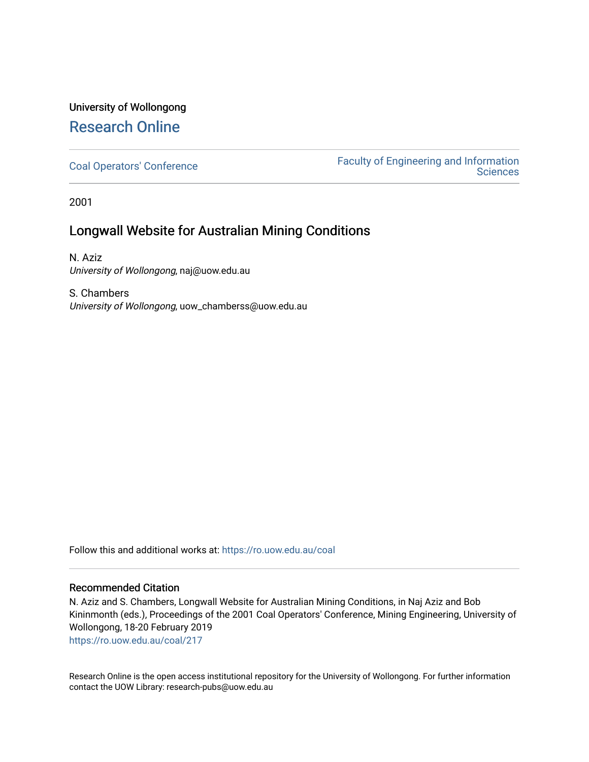## University of Wollongong [Research Online](https://ro.uow.edu.au/)

[Coal Operators' Conference](https://ro.uow.edu.au/coal) [Faculty of Engineering and Information](https://ro.uow.edu.au/eis)  **Sciences** 

2001

### Longwall Website for Australian Mining Conditions

N. Aziz University of Wollongong, naj@uow.edu.au

S. Chambers University of Wollongong, uow\_chamberss@uow.edu.au

Follow this and additional works at: [https://ro.uow.edu.au/coal](https://ro.uow.edu.au/coal?utm_source=ro.uow.edu.au%2Fcoal%2F217&utm_medium=PDF&utm_campaign=PDFCoverPages) 

#### Recommended Citation

N. Aziz and S. Chambers, Longwall Website for Australian Mining Conditions, in Naj Aziz and Bob Kininmonth (eds.), Proceedings of the 2001 Coal Operators' Conference, Mining Engineering, University of Wollongong, 18-20 February 2019

[https://ro.uow.edu.au/coal/217](https://ro.uow.edu.au/coal/217?utm_source=ro.uow.edu.au%2Fcoal%2F217&utm_medium=PDF&utm_campaign=PDFCoverPages) 

Research Online is the open access institutional repository for the University of Wollongong. For further information contact the UOW Library: research-pubs@uow.edu.au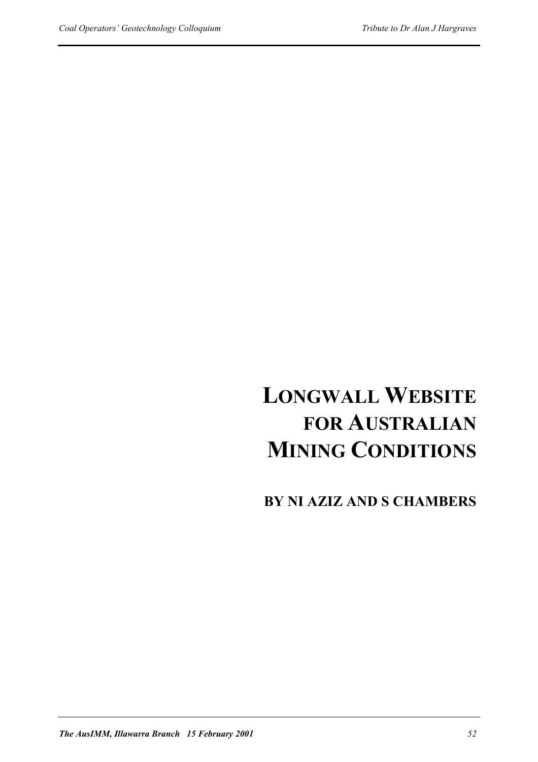# **LONGWALL WEBSITE FOR AUSTRALIAN MINING CONDITIONS**

**BY NI AZIZ AND S CHAMBERS**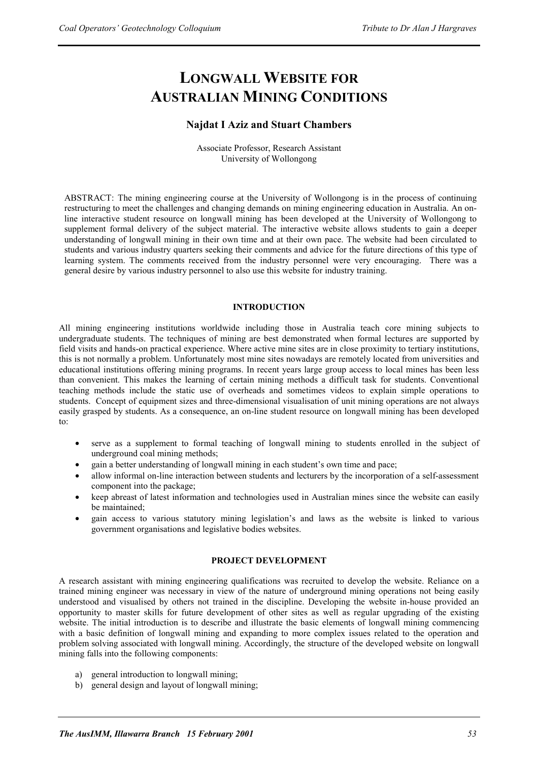## **LONGWALL WEBSITE FOR AUSTRALIAN MINING CONDITIONS**

#### **Najdat I Aziz and Stuart Chambers**

Associate Professor, Research Assistant University of Wollongong

ABSTRACT: The mining engineering course at the University of Wollongong is in the process of continuing restructuring to meet the challenges and changing demands on mining engineering education in Australia. An online interactive student resource on longwall mining has been developed at the University of Wollongong to supplement formal delivery of the subject material. The interactive website allows students to gain a deeper understanding of longwall mining in their own time and at their own pace. The website had been circulated to students and various industry quarters seeking their comments and advice for the future directions of this type of learning system. The comments received from the industry personnel were very encouraging. There was a general desire by various industry personnel to also use this website for industry training.

#### **INTRODUCTION**

All mining engineering institutions worldwide including those in Australia teach core mining subjects to undergraduate students. The techniques of mining are best demonstrated when formal lectures are supported by field visits and hands-on practical experience. Where active mine sites are in close proximity to tertiary institutions, this is not normally a problem. Unfortunately most mine sites nowadays are remotely located from universities and educational institutions offering mining programs. In recent years large group access to local mines has been less than convenient. This makes the learning of certain mining methods a difficult task for students. Conventional teaching methods include the static use of overheads and sometimes videos to explain simple operations to students. Concept of equipment sizes and three-dimensional visualisation of unit mining operations are not always easily grasped by students. As a consequence, an on-line student resource on longwall mining has been developed to:

- serve as a supplement to formal teaching of longwall mining to students enrolled in the subject of underground coal mining methods;
- gain a better understanding of longwall mining in each student's own time and pace;
- allow informal on-line interaction between students and lecturers by the incorporation of a self-assessment component into the package;
- keep abreast of latest information and technologies used in Australian mines since the website can easily be maintained;
- gain access to various statutory mining legislation's and laws as the website is linked to various government organisations and legislative bodies websites.

#### **PROJECT DEVELOPMENT**

A research assistant with mining engineering qualifications was recruited to develop the website. Reliance on a trained mining engineer was necessary in view of the nature of underground mining operations not being easily understood and visualised by others not trained in the discipline. Developing the website in-house provided an opportunity to master skills for future development of other sites as well as regular upgrading of the existing website. The initial introduction is to describe and illustrate the basic elements of longwall mining commencing with a basic definition of longwall mining and expanding to more complex issues related to the operation and problem solving associated with longwall mining. Accordingly, the structure of the developed website on longwall mining falls into the following components:

- a) general introduction to longwall mining;
- b) general design and layout of longwall mining;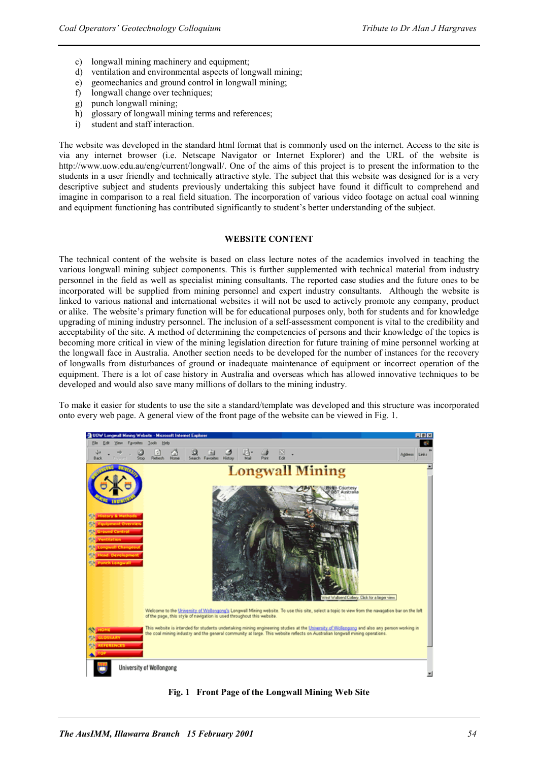- c) longwall mining machinery and equipment;
- d) ventilation and environmental aspects of longwall mining;
- e) geomechanics and ground control in longwall mining;
- f) longwall change over techniques;
- g) punch longwall mining;
- h) glossary of longwall mining terms and references;
- i) student and staff interaction.

The website was developed in the standard html format that is commonly used on the internet. Access to the site is via any internet browser (i.e. Netscape Navigator or Internet Explorer) and the URL of the website is http://www.uow.edu.au/eng/current/longwall/. One of the aims of this project is to present the information to the students in a user friendly and technically attractive style. The subject that this website was designed for is a very descriptive subject and students previously undertaking this subject have found it difficult to comprehend and imagine in comparison to a real field situation. The incorporation of various video footage on actual coal winning and equipment functioning has contributed significantly to student's better understanding of the subject.

#### **WEBSITE CONTENT**

The technical content of the website is based on class lecture notes of the academics involved in teaching the various longwall mining subject components. This is further supplemented with technical material from industry personnel in the field as well as specialist mining consultants. The reported case studies and the future ones to be incorporated will be supplied from mining personnel and expert industry consultants. Although the website is linked to various national and international websites it will not be used to actively promote any company, product or alike. The website's primary function will be for educational purposes only, both for students and for knowledge upgrading of mining industry personnel. The inclusion of a self-assessment component is vital to the credibility and acceptability of the site. A method of determining the competencies of persons and their knowledge of the topics is becoming more critical in view of the mining legislation direction for future training of mine personnel working at the longwall face in Australia. Another section needs to be developed for the number of instances for the recovery of longwalls from disturbances of ground or inadequate maintenance of equipment or incorrect operation of the equipment. There is a lot of case history in Australia and overseas which has allowed innovative techniques to be developed and would also save many millions of dollars to the mining industry.

To make it easier for students to use the site a standard/template was developed and this structure was incorporated onto every web page. A general view of the front page of the website can be viewed in Fig. 1.



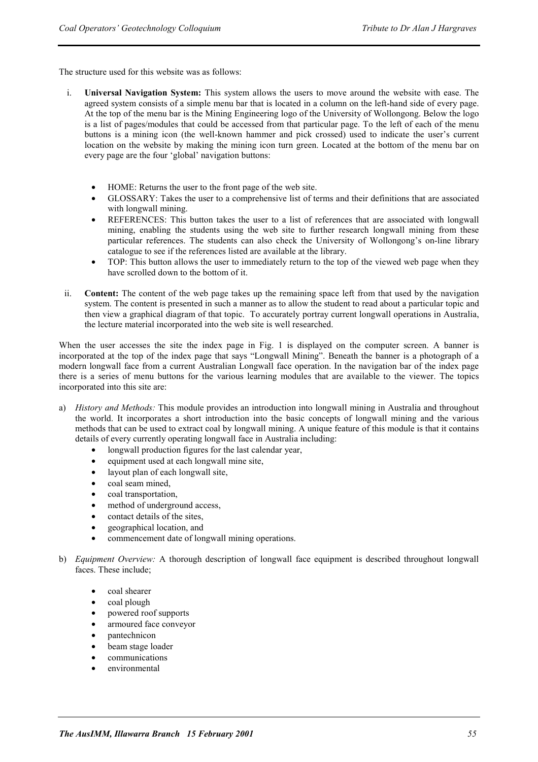The structure used for this website was as follows:

- i. **Universal Navigation System:** This system allows the users to move around the website with ease. The agreed system consists of a simple menu bar that is located in a column on the left-hand side of every page. At the top of the menu bar is the Mining Engineering logo of the University of Wollongong. Below the logo is a list of pages/modules that could be accessed from that particular page. To the left of each of the menu buttons is a mining icon (the well-known hammer and pick crossed) used to indicate the user's current location on the website by making the mining icon turn green. Located at the bottom of the menu bar on every page are the four 'global' navigation buttons:
	- HOME: Returns the user to the front page of the web site.
	- GLOSSARY: Takes the user to a comprehensive list of terms and their definitions that are associated with longwall mining.
	- REFERENCES: This button takes the user to a list of references that are associated with longwall mining, enabling the students using the web site to further research longwall mining from these particular references. The students can also check the University of Wollongong's on-line library catalogue to see if the references listed are available at the library.
	- TOP: This button allows the user to immediately return to the top of the viewed web page when they have scrolled down to the bottom of it.
- ii. **Content:** The content of the web page takes up the remaining space left from that used by the navigation system. The content is presented in such a manner as to allow the student to read about a particular topic and then view a graphical diagram of that topic. To accurately portray current longwall operations in Australia, the lecture material incorporated into the web site is well researched.

When the user accesses the site the index page in Fig. 1 is displayed on the computer screen. A banner is incorporated at the top of the index page that says "Longwall Mining". Beneath the banner is a photograph of a modern longwall face from a current Australian Longwall face operation. In the navigation bar of the index page there is a series of menu buttons for the various learning modules that are available to the viewer. The topics incorporated into this site are:

- a) *History and Methods:* This module provides an introduction into longwall mining in Australia and throughout the world. It incorporates a short introduction into the basic concepts of longwall mining and the various methods that can be used to extract coal by longwall mining. A unique feature of this module is that it contains details of every currently operating longwall face in Australia including:
	- longwall production figures for the last calendar year,
	- equipment used at each longwall mine site,
	- layout plan of each longwall site,
	- coal seam mined,
	- coal transportation,
	- method of underground access,
	- contact details of the sites.
	- geographical location, and
	- commencement date of longwall mining operations.
- b) *Equipment Overview:* A thorough description of longwall face equipment is described throughout longwall faces. These include;
	- coal shearer
	- coal plough
	- powered roof supports
	- armoured face conveyor
	- pantechnicon
	- beam stage loader
	- communications
	- environmental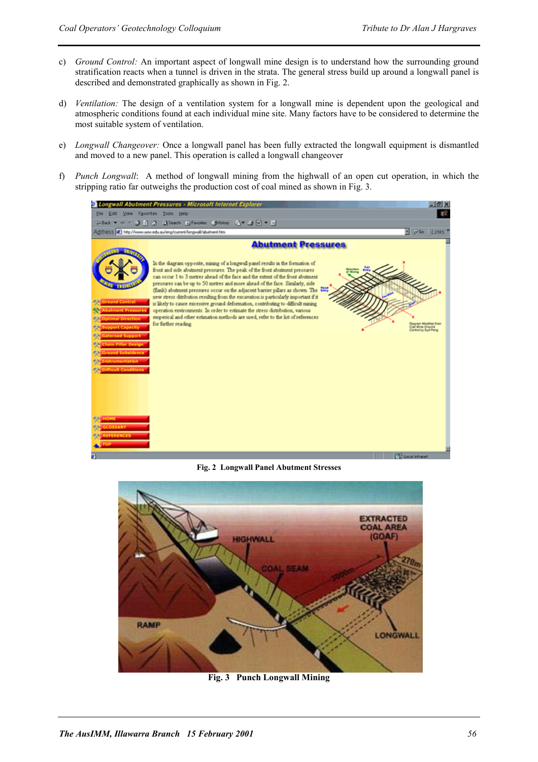- c) *Ground Control:* An important aspect of longwall mine design is to understand how the surrounding ground stratification reacts when a tunnel is driven in the strata. The general stress build up around a longwall panel is described and demonstrated graphically as shown in Fig. 2.
- d) *Ventilation:* The design of a ventilation system for a longwall mine is dependent upon the geological and atmospheric conditions found at each individual mine site. Many factors have to be considered to determine the most suitable system of ventilation.
- e) *Longwall Changeover:* Once a longwall panel has been fully extracted the longwall equipment is dismantled and moved to a new panel. This operation is called a longwall changeover
- f) *Punch Longwall*: A method of longwall mining from the highwall of an open cut operation, in which the stripping ratio far outweighs the production cost of coal mined as shown in Fig. 3.



**Fig. 2 Longwall Panel Abutment Stresses** 



**Fig. 3 Punch Longwall Mining**